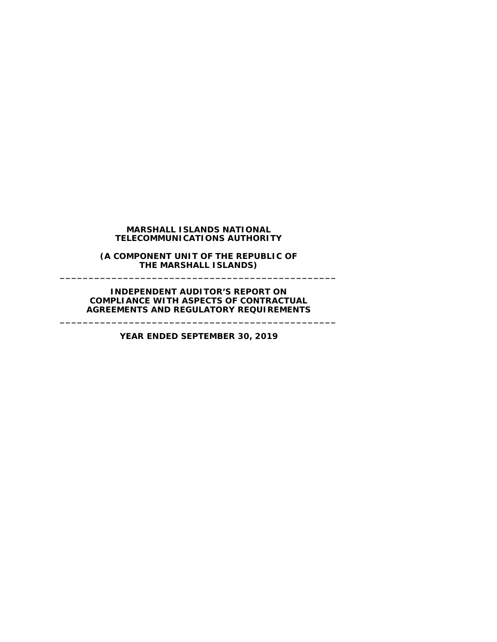### **MARSHALL ISLANDS NATIONAL TELECOMMUNICATIONS AUTHORITY**

**(A COMPONENT UNIT OF THE REPUBLIC OF THE MARSHALL ISLANDS) \_\_\_\_\_\_\_\_\_\_\_\_\_\_\_\_\_\_\_\_\_\_\_\_\_\_\_\_\_\_\_\_\_\_\_\_\_\_\_\_\_\_\_\_\_\_\_\_**

**INDEPENDENT AUDITOR'S REPORT ON COMPLIANCE WITH ASPECTS OF CONTRACTUAL AGREEMENTS AND REGULATORY REQUIREMENTS**

**YEAR ENDED SEPTEMBER 30, 2019**

**\_\_\_\_\_\_\_\_\_\_\_\_\_\_\_\_\_\_\_\_\_\_\_\_\_\_\_\_\_\_\_\_\_\_\_\_\_\_\_\_\_\_\_\_\_\_\_\_**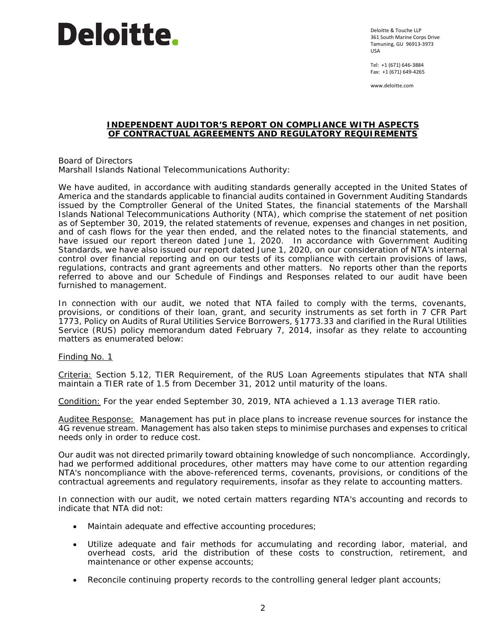# **Deloitte.**

Deloitte & Touche LLP 361 South Marine Corps Drive Tamuning, GU 96913-3973 USA

Tel: +1 (671) 646-3884 Fax: +1 (671) 649-4265

www.deloitte.com

#### **INDEPENDENT AUDITOR'S REPORT ON COMPLIANCE WITH ASPECTS OF CONTRACTUAL AGREEMENTS AND REGULATORY REQUIREMENTS**

Board of Directors Marshall Islands National Telecommunications Authority:

We have audited, in accordance with auditing standards generally accepted in the United States of America and the standards applicable to financial audits contained in *Government Auditing Standards* issued by the Comptroller General of the United States, the financial statements of the Marshall Islands National Telecommunications Authority (NTA), which comprise the statement of net position as of September 30, 2019, the related statements of revenue, expenses and changes in net position, and of cash flows for the year then ended, and the related notes to the financial statements, and have issued our report thereon dated June 1, 2020. In accordance with *Government Auditing Standards*, we have also issued our report dated June 1, 2020, on our consideration of NTA's internal control over financial reporting and on our tests of its compliance with certain provisions of laws, regulations, contracts and grant agreements and other matters. No reports other than the reports referred to above and our Schedule of Findings and Responses related to our audit have been furnished to management.

In connection with our audit, we noted that NTA failed to comply with the terms, covenants, provisions, or conditions of their loan, grant, and security instruments as set forth in 7 CFR Part 1773, *Policy on Audits of Rural Utilities Service Borrowers*, §1773.33 and clarified in the Rural Utilities Service (RUS) policy memorandum dated February 7, 2014, insofar as they relate to accounting matters as enumerated below:

Finding No. 1

Criteria: Section 5.12, *TIER Requirement*, of the RUS Loan Agreements stipulates that NTA shall maintain a TIER rate of 1.5 from December 31, 2012 until maturity of the loans.

Condition: For the year ended September 30, 2019, NTA achieved a 1.13 average TIER ratio.

Auditee Response: Management has put in place plans to increase revenue sources for instance the 4G revenue stream. Management has also taken steps to minimise purchases and expenses to critical needs only in order to reduce cost.

Our audit was not directed primarily toward obtaining knowledge of such noncompliance. Accordingly, had we performed additional procedures, other matters may have come to our attention regarding NTA's noncompliance with the above-referenced terms, covenants, provisions, or conditions of the contractual agreements and regulatory requirements, insofar as they relate to accounting matters.

In connection with our audit, we noted certain matters regarding NTA's accounting and records to indicate that NTA did not:

- Maintain adequate and effective accounting procedures;
- Utilize adequate and fair methods for accumulating and recording labor, material, and overhead costs, arid the distribution of these costs to construction, retirement, and maintenance or other expense accounts;
- Reconcile continuing property records to the controlling general ledger plant accounts;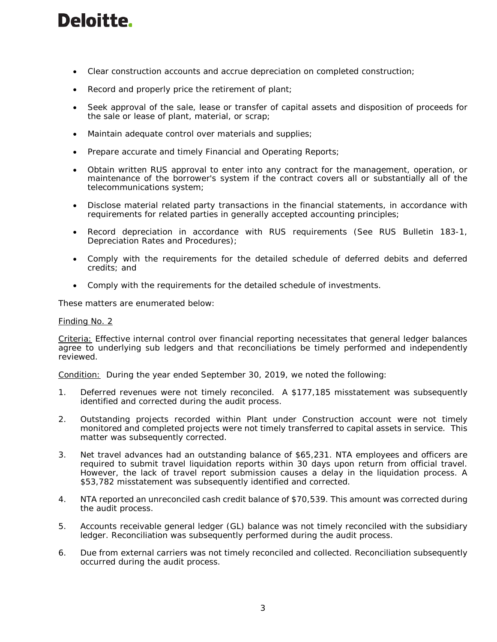## **Deloitte.**

- Clear construction accounts and accrue depreciation on completed construction;
- Record and properly price the retirement of plant;
- Seek approval of the sale, lease or transfer of capital assets and disposition of proceeds for the sale or lease of plant, material, or scrap;
- Maintain adequate control over materials and supplies;
- Prepare accurate and timely Financial and Operating Reports;
- Obtain written RUS approval to enter into any contract for the management, operation, or maintenance of the borrower's system if the contract covers all or substantially all of the telecommunications system;
- Disclose material related party transactions in the financial statements, in accordance with requirements for related parties in generally accepted accounting principles;
- Record depreciation in accordance with RUS requirements (See RUS Bulletin 183-1, Depreciation Rates and Procedures);
- Comply with the requirements for the detailed schedule of deferred debits and deferred credits; and
- Comply with the requirements for the detailed schedule of investments.

These matters are enumerated below:

### Finding No. 2

Criteria: Effective internal control over financial reporting necessitates that general ledger balances agree to underlying sub ledgers and that reconciliations be timely performed and independently reviewed.

Condition: During the year ended September 30, 2019, we noted the following:

- 1. Deferred revenues were not timely reconciled. A \$177,185 misstatement was subsequently identified and corrected during the audit process.
- 2. Outstanding projects recorded within Plant under Construction account were not timely monitored and completed projects were not timely transferred to capital assets in service. This matter was subsequently corrected.
- 3. Net travel advances had an outstanding balance of \$65,231. NTA employees and officers are required to submit travel liquidation reports within 30 days upon return from official travel. However, the lack of travel report submission causes a delay in the liquidation process. A \$53,782 misstatement was subsequently identified and corrected.
- 4. NTA reported an unreconciled cash credit balance of \$70,539. This amount was corrected during the audit process.
- 5. Accounts receivable general ledger (GL) balance was not timely reconciled with the subsidiary ledger. Reconciliation was subsequently performed during the audit process.
- 6. Due from external carriers was not timely reconciled and collected. Reconciliation subsequently occurred during the audit process.